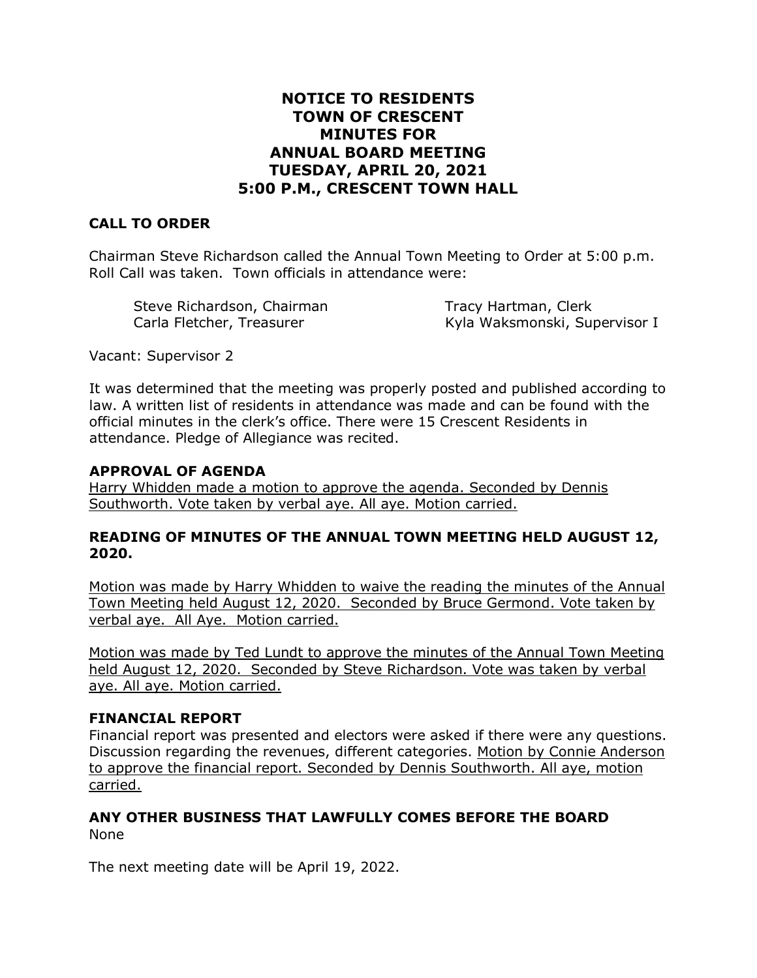# **NOTICE TO RESIDENTS TOWN OF CRESCENT MINUTES FOR ANNUAL BOARD MEETING TUESDAY, APRIL 20, 2021 5:00 P.M., CRESCENT TOWN HALL**

# **CALL TO ORDER**

Chairman Steve Richardson called the Annual Town Meeting to Order at 5:00 p.m. Roll Call was taken. Town officials in attendance were:

| Steve Richardson, Chairman | Tracy Hartman, Clerk          |
|----------------------------|-------------------------------|
| Carla Fletcher, Treasurer  | Kyla Waksmonski, Supervisor I |

Vacant: Supervisor 2

It was determined that the meeting was properly posted and published according to law. A written list of residents in attendance was made and can be found with the official minutes in the clerk's office. There were 15 Crescent Residents in attendance. Pledge of Allegiance was recited.

#### **APPROVAL OF AGENDA**

Harry Whidden made a motion to approve the agenda. Seconded by Dennis Southworth. Vote taken by verbal aye. All aye. Motion carried.

#### **READING OF MINUTES OF THE ANNUAL TOWN MEETING HELD AUGUST 12, 2020.**

Motion was made by Harry Whidden to waive the reading the minutes of the Annual Town Meeting held August 12, 2020. Seconded by Bruce Germond. Vote taken by verbal aye. All Aye. Motion carried.

Motion was made by Ted Lundt to approve the minutes of the Annual Town Meeting held August 12, 2020. Seconded by Steve Richardson. Vote was taken by verbal aye. All aye. Motion carried.

### **FINANCIAL REPORT**

Financial report was presented and electors were asked if there were any questions. Discussion regarding the revenues, different categories. Motion by Connie Anderson to approve the financial report. Seconded by Dennis Southworth. All aye, motion carried.

### **ANY OTHER BUSINESS THAT LAWFULLY COMES BEFORE THE BOARD** None

The next meeting date will be April 19, 2022.